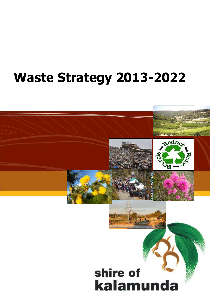# **Waste Strategy 2013-2022**

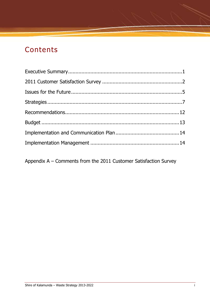## **Contents**

Appendix A – Comments from the 2011 Customer Satisfaction Survey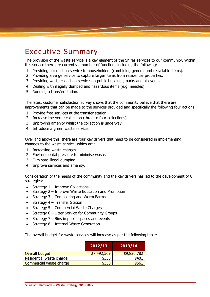## Executive Summary

The provision of the waste service is a key element of the Shires services to our community. Within this service there are currently a number of functions including the following:

- 1. Providing a collection service to householders (combining general and recyclable items).
- 2. Providing a verge service to capture larger items from residential properties.
- 3. Providing waste collection services in public buildings, parks and at events.
- 4. Dealing with illegally dumped and hazardous items (e.g. needles).
- 5. Running a transfer station.

The latest customer satisfaction survey shows that the community believe that there are improvements that can be made to the services provided and specifically the following four actions:

- 1. Provide free services at the transfer station.
- 2. Increase the verge collection (three to four collections).
- 3. Improving amenity whilst the collection is underway.
- 4. Introduce a green waste service.

Over and above this, there are four key drivers that need to be considered in implementing changes to the waste service, which are:

- 1. Increasing waste charges.
- 2. Environmental pressure to minimise waste.
- 3. Eliminate illegal dumping.
- 4. Improve services and amenity.

Consideration of the needs of the community and the key drivers has led to the development of 8 strategies:

- Strategy  $1 -$  Improve Collections
- Strategy 2 Improve Waste Education and Promotion
- Strategy  $3$  Composting and Worm Farms
- $\bullet$  Strategy 4 Transfer Station
- $\bullet$  Strategy 5 Commercial Waste Charges
- Strategy  $6$  Litter Service for Community Groups
- Strategy 7 Bins in public spaces and events
- Strategy 8 Internal Waste Generation

The overall budget for waste services will increase as per the following table:

|                          | 2012/13     | 2013/14     |
|--------------------------|-------------|-------------|
| Overall budget           | \$7,492,569 | \$9,820,782 |
| Residential waste charge | \$350       | \$401       |
| Commercial waste charge  | \$350       | \$561       |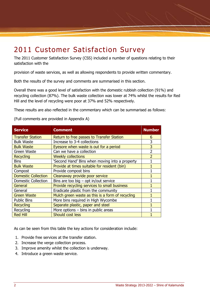## 2011 Customer Satisfaction Survey

The 2011 Customer Satisfaction Survey (CSS) included a number of questions relating to their satisfaction with the

provision of waste services, as well as allowing respondents to provide written commentary.

Both the results of the survey and comments are summarised in this section.

Overall there was a good level of satisfaction with the domestic rubbish collection (91%) and recycling collection (87%). The bulk waste collection was lower at 74% whilst the results for Red Hill and the level of recycling were poor at 37% and 52% respectively.

These results are also reflected in the commentary which can be summarised as follows:

(Full comments are provided in Appendix A)

| <b>Service</b>             | <b>Comment</b>                                   | <b>Number</b>  |
|----------------------------|--------------------------------------------------|----------------|
| <b>Transfer Station</b>    | Return to free passes to Transfer Station        | 6              |
| <b>Bulk Waste</b>          | Increase to 3-4 collections                      | 3              |
| <b>Bulk Waste</b>          | Eyesore when waste is out for a period           | 3              |
| Green Waste                | Can we have a collection                         | $\overline{2}$ |
| <b>Recycling</b>           | <b>Weekly collections</b>                        | $\overline{2}$ |
| <b>Bins</b>                | 'Second Hand' Bins when moving into a property   |                |
| <b>Bulk Waste</b>          | Provide at times suitable for resident (bin)     |                |
| Compost                    | Provide compost bins                             |                |
| <b>Domestic Collection</b> | Cleanaway provide poor service                   |                |
| <b>Domestic Collection</b> | Bins are too big $-$ opt in/out service          |                |
| General                    | Provide recycling services to small business     |                |
| General                    | Eradicate plastic from the community             |                |
| <b>Green Waste</b>         | Mulch green waste as this is a form of recycling |                |
| <b>Public Bins</b>         | More bins required in High Wycombe               |                |
| <b>Recycling</b>           | Separate plastic, paper and steel                |                |
| Recycling                  | More options $-$ bins in public areas            |                |
| <b>Red Hill</b>            | Should cost less                                 |                |

As can be seen from this table the key actions for consideration include:

- 1. Provide free services at the transfer station.
- 2. Increase the verge collection process.
- 3. Improve amenity whilst the collection is underway.
- 4. Introduce a green waste service.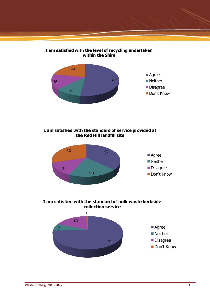





#### I am satisfied with the standard of service provided at the Red Hill landfill site



I am satisfied with the standard of bulk waste kerbside collection service

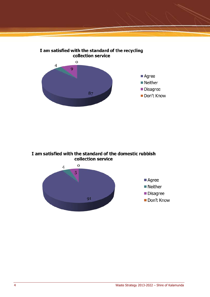



I am satisfied with the standard of the domestic rubbish collection service

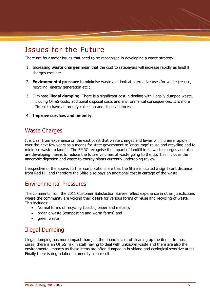## Issues for the Future

There are four major issues that need to be recognised in developing a waste strategy:

- 1. Increasing **waste charges** mean that the cost to ratepayers will increase rapidly as landfill charges escalate.
- 2. **Environmental pressure** to minimise waste and look at alternative uses for waste (re-use, recycling, energy generation etc.).
- 3. Eliminate **illegal dumping**. There is a significant cost in dealing with illegally dumped waste, including OH&S costs, additional disposal costs and environmental consequences. It is more efficient to have an orderly collection and disposal process.
- 4. **Improve services and amenity.**

#### Waste Charges

It is clear from experience on the east coast that waste charges and levies will increase rapidly over the next few years as a means for state government to 'encourage' reuse and recycling and to minimise waste to landfill. The EMRC recognise the impact of landfill in its waste charges and also are developing means to reduce the future volumes of waste going to the tip. This includes the anaerobic digestion and waste to energy plants currently undergoing review.

Irrespective of the above, further complications are that the Shire is located a significant distance from Red Hill and therefore the Shire also pays an additional cost in cartage of the waste.

#### Environmental Pressures

The comments from the 2011 Customer Satisfaction Survey reflect experience in other jurisdictions where the community are voicing their desire for various forms of reuse and recycling of waste. This includes:

- Normal forms of recycling (plastic, paper and metals);
- organic waste (composting and worm farms) and
- areen waste

### Illegal Dumping

Illegal dumping has more impact than just the financial cost of cleaning up the items. In most cases, there is an OH&S risk in staff having to deal with unknown waste and there are also the environmental impacts as these items are often dumped in bushland and ecological sensitive areas. Finally there is degradation in amenity as a result.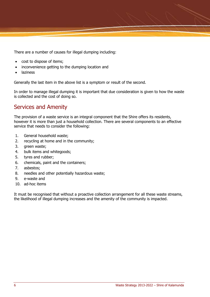There are a number of causes for illegal dumping including:

- cost to dispose of items;
- inconvenience getting to the dumping location and
- **•** laziness

Generally the last item in the above list is a symptom or result of the second.

In order to manage illegal dumping it is important that due consideration is given to how the waste is collected and the cost of doing so.

#### Services and Amenity

The provision of a waste service is an integral component that the Shire offers its residents, however it is more than just a household collection. There are several components to an effective service that needs to consider the following:

- 1. General household waste;
- 2. recycling at home and in the community;
- 3. green waste;
- 4. bulk items and whitegoods;
- 5. tyres and rubber;
- 6. chemicals, paint and the containers;
- 7. asbestos;
- 8. needles and other potentially hazardous waste;
- 9. e-waste and
- 10. ad-hoc items

It must be recognised that without a proactive collection arrangement for all these waste streams, the likelihood of illegal dumping increases and the amenity of the community is impacted.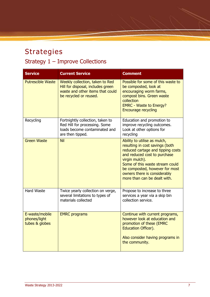# Strategies Strategy 1 – Improve Collections

| <b>Service</b>                                   | <b>Current Service</b>                                                                                                             | <b>Comment</b>                                                                                                                                                                                                                                                                              |
|--------------------------------------------------|------------------------------------------------------------------------------------------------------------------------------------|---------------------------------------------------------------------------------------------------------------------------------------------------------------------------------------------------------------------------------------------------------------------------------------------|
| <b>Putrescible Waste</b>                         | Weekly collection, taken to Red<br>Hill for disposal, includes green<br>waste and other items that could<br>be recycled or reused. | Possible for some of this waste to<br>be composted, look at<br>encouraging worm farms,<br>compost bins. Green waste<br>collection<br><b>EMRC - Waste to Energy?</b><br><b>Encourage recycling</b>                                                                                           |
| Recycling                                        | Fortnightly collection, taken to<br>Red Hill for processing. Some<br>loads become contaminated and<br>are then tipped.             | Education and promotion to<br>improve recycling outcomes.<br>Look at other options for<br>recycling                                                                                                                                                                                         |
| <b>Green Waste</b>                               | <b>Nil</b>                                                                                                                         | Ability to utilise as mulch,<br>resulting in cost savings (both<br>reduced cartage and tipping costs<br>and reduced cost to purchase<br>virgin mulch).<br>Some of this waste stream could<br>be composted, however for most<br>owners there is considerably<br>more than can be dealt with. |
| <b>Hard Waste</b>                                | Twice yearly collection on verge,<br>several limitations to types of<br>materials collected                                        | Propose to increase to three<br>services a year via a skip bin<br>collection service.                                                                                                                                                                                                       |
| E-waste/mobile<br>phones/light<br>tubes & globes | <b>EMRC</b> programs                                                                                                               | Continue with current programs,<br>however look at education and<br>promotion of these (EMRC<br><b>Education Officer).</b><br>Also consider having programs in<br>the community.                                                                                                            |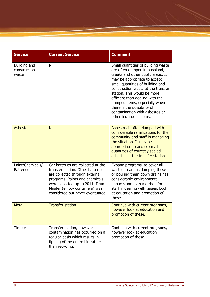| <b>Service</b>                        | <b>Current Service</b>                                                                                                                                                                                                                              | <b>Comment</b>                                                                                                                                                                                                                                                                                                                                                                                                   |
|---------------------------------------|-----------------------------------------------------------------------------------------------------------------------------------------------------------------------------------------------------------------------------------------------------|------------------------------------------------------------------------------------------------------------------------------------------------------------------------------------------------------------------------------------------------------------------------------------------------------------------------------------------------------------------------------------------------------------------|
| Building and<br>construction<br>waste | Nil                                                                                                                                                                                                                                                 | Small quantities of building waste<br>are often dumped in bushland,<br>creeks and other public areas. It<br>may be appropriate to accept<br>small quantities of building and<br>construction waste at the transfer<br>station. This would be more<br>efficient than dealing with the<br>dumped items, especially when<br>there is the possibility of<br>contamination with asbestos or<br>other hazardous items. |
| <b>Asbestos</b>                       | <b>Nil</b>                                                                                                                                                                                                                                          | Asbestos is often dumped with<br>considerable ramifications for the<br>community and staff in managing<br>the situation. It may be<br>appropriate to accept small<br>quantities of correctly sealed<br>asbestos at the transfer station.                                                                                                                                                                         |
| Paint/Chemicals/<br><b>Batteries</b>  | Car batteries are collected at the<br>transfer station. Other batteries<br>are collected through external<br>programs. Paints and chemicals<br>were collected up to 2011. Drum<br>Muster (empty containers) was<br>considered but never eventuated. | Expand programs, to cover all<br>waste stream as dumping these<br>or pouring them down drains has<br>considerable environmental<br>impacts and extreme risks for<br>staff in dealing with issues. Look<br>at education and promotion of<br>these.                                                                                                                                                                |
| <b>Metal</b>                          | <b>Transfer station</b>                                                                                                                                                                                                                             | Continue with current programs,<br>however look at education and<br>promotion of these.                                                                                                                                                                                                                                                                                                                          |
| Timber                                | Transfer station, however<br>contamination has occurred on a<br>regular basis which results in<br>tipping of the entire bin rather<br>than recycling.                                                                                               | Continue with current programs,<br>however look at education<br>promotion of these.                                                                                                                                                                                                                                                                                                                              |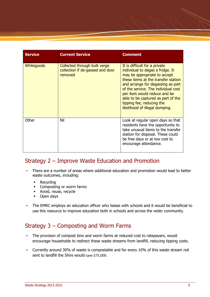| <b>Service</b>    | <b>Current Service</b>                                                      | <b>Comment</b>                                                                                                                                                                                                                                                                                                                                            |
|-------------------|-----------------------------------------------------------------------------|-----------------------------------------------------------------------------------------------------------------------------------------------------------------------------------------------------------------------------------------------------------------------------------------------------------------------------------------------------------|
| <b>Whitegoods</b> | Collected through bulk verge<br>collection if de-gassed and door<br>removed | It is difficult for a private<br>individual to degas a fridge. It<br>may be appropriate to accept<br>these items at the transfer station<br>and arrange for degassing as part<br>of the service. The individual cost<br>per item would reduce and be<br>able to be captured as part of the<br>tipping fee, reducing the<br>likelihood of illegal dumping. |
| Other             | Nil                                                                         | Look at regular open days so that<br>residents have the opportunity to<br>take unusual items to the transfer<br>station for disposal. These could<br>be free days or at low cost to<br>encourage attendance.                                                                                                                                              |

#### Strategy 2 – Improve Waste Education and Promotion

- There are a number of areas where additional education and promotion would lead to better waste outcomes, including:
	- Recycling
	- Composting or worm farms
	- Avoid, reuse, recycle
	- Open days
- The EMRC employs an education officer who liaises with schools and it would be beneficial to use this resource to improve education both in schools and across the wider community.

### Strategy 3 – Composting and Worm Farms

- The provision of compost bins and worm farms at reduced cost to ratepayers, would encourage households to redirect these waste streams from landfill, reducing tipping costs.
- Currently around 30% of waste is compostable and for every 10% of this waste stream not sent to landfill the Shire would save \$75,000.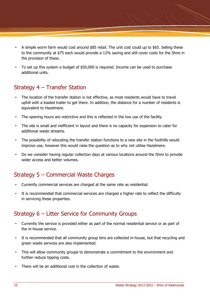- A simple worm farm would cost around \$85 retail. The unit cost could up to \$65. Selling these to the community at \$75 each would provide a 12% saving and still cover costs for the Shire in the provision of these.
- To set up this system a budget of \$50,000 is required. Income can be used to purchase additional units.

## Strategy 4 – Transfer Station

- The location of the transfer station is not effective, as most residents would have to travel uphill with a loaded trailer to get there. In addition, the distance for a number of residents is equivalent to Hazelmere.
- The opening hours are restrictive and this is reflected in the low use of the facility.
- The site is small and inefficient in layout and there is no capacity for expansion to cater for additional waste streams.
- The possibility of relocating the transfer station functions to a new site in the foothills would improve use, however this would raise the question as to why not utilise Hazelmere.
- Do we consider having regular collection days at various locations around the Shire to provide wider access and better volumes.

## Strategy 5 – Commercial Waste Charges

- Currently commercial services are charged at the same rate as residential.
- It is recommended that commercial services are charged a higher rate to reflect the difficulty in servicing these properties.

### Strategy 6 – Litter Service for Community Groups

- Currently the service is provided either as part of the normal residential service or as part of the in-house service.
- It is recommended that all community group bins are collected in-house, but that recycling and green waste services are also implemented.
- This will allow community groups to demonstrate a commitment to the environment and further reduce tipping costs.
- There will be an additional cost in the collection of waste.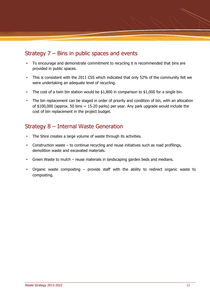## Strategy 7 – Bins in public spaces and events

- To encourage and demonstrate commitment to recycling it is recommended that bins are provided in public spaces.
- This is consistent with the 2011 CSS which indicated that only 52% of the community felt we were undertaking an adequate level of recycling.
- The cost of a twin bin station would be \$1,800 in comparison to \$1,000 for a single bin.
- The bin replacement can be staged in order of priority and condition of bin, with an allocation of  $$100,000$  (approx. 50 bins = 15-20 parks) per year. Any park upgrade would include the cost of bin replacement in the project budget.

#### Strategy 8 – Internal Waste Generation

- The Shire creates a large volume of waste through its activities.
- Construction waste to continue recycling and reuse initiatives such as road profilings, demolition waste and excavated materials.
- Green Waste to mulch reuse materials in landscaping garden beds and medians.
- Organic waste composting  $-$  provide staff with the ability to redirect organic waste to composting.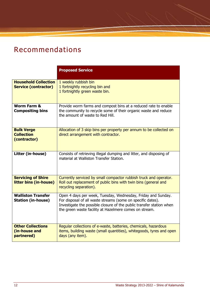# Recommendations

|                                                            | <b>Proposed Service</b>                                                                                                                                                                                                                                       |
|------------------------------------------------------------|---------------------------------------------------------------------------------------------------------------------------------------------------------------------------------------------------------------------------------------------------------------|
| <b>Household Collection</b><br><b>Service (contractor)</b> | 1 weekly rubbish bin<br>1 fortnightly recycling bin and<br>1 fortnightly green waste bin.                                                                                                                                                                     |
| <b>Worm Farm &amp;</b><br><b>Compositing bins</b>          | Provide worm farms and compost bins at a reduced rate to enable<br>the community to recycle some of their organic waste and reduce<br>the amount of waste to Red Hill.                                                                                        |
| <b>Bulk Verge</b><br><b>Collection</b><br>(contractor)     | Allocation of 3 skip bins per property per annum to be collected on<br>direct arrangement with contractor.                                                                                                                                                    |
| Litter (in-house)                                          | Consists of retrieving illegal dumping and litter, and disposing of<br>material at Walliston Transfer Station.                                                                                                                                                |
| <b>Servicing of Shire</b><br>litter bins (in-house)        | Currently serviced by small compactor rubbish truck and operator.<br>Roll out replacement of public bins with twin bins (general and<br>recycling separation).                                                                                                |
| <b>Walliston Transfer</b><br><b>Station (in-house)</b>     | Open 4 days per week, Tuesday, Wednesday, Friday and Sunday.<br>For disposal of all waste streams (some on specific dates).<br>Investigate the possible closure of the public transfer station when<br>the green waste facility at Hazelmere comes on stream. |
| <b>Other Collections</b><br>(in-house and<br>partnered)    | Regular collections of e-waste, batteries, chemicals, hazardous<br>items, building waste (small quantities), whitegoods, tyres and open<br>days (any item).                                                                                                   |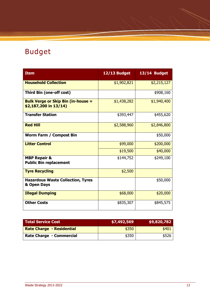# Budget

| <b>Item</b>                                                        | 12/13 Budget | 13/14 Budget |
|--------------------------------------------------------------------|--------------|--------------|
| <b>Household Collection</b>                                        | \$1,902,821  | \$2,215,127  |
| Third Bin (one-off cost)                                           |              | \$908,160    |
| <b>Bulk Verge or Skip Bin (in-house =</b><br>\$2,187,200 in 13/14) | \$1,438,282  | \$1,940,400  |
| <b>Transfer Station</b>                                            | \$393,447    | \$455,620    |
| <b>Red Hill</b>                                                    | \$2,588,960  | \$2,846,800  |
| <b>Worm Farm / Compost Bin</b>                                     |              | \$50,000     |
| <b>Litter Control</b>                                              | \$99,000     | \$200,000    |
|                                                                    | \$19,500     | \$40,000     |
| <b>MBP Repair &amp;</b><br><b>Public Bin replacement</b>           | \$144,752    | \$249,100    |
| <b>Tyre Recycling</b>                                              | \$2,500      |              |
| <b>Hazardous Waste Collection, Tyres</b><br>& Open Days            |              | \$50,000     |
| <b>Illegal Dumping</b>                                             | \$68,000     | \$20,000     |
| <b>Other Costs</b>                                                 | \$835,307    | \$845,575    |

| Total Service Cost               | <b>\$7,492,569</b> | \$9,820,782 |
|----------------------------------|--------------------|-------------|
| <b>Rate Charge - Residential</b> | \$350              | \$401       |
| <b>Rate Charge - Commercial</b>  | \$350              | \$526       |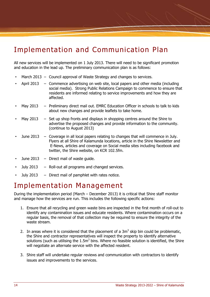## Implementation and Communication Plan

All new services will be implemented on 1 July 2013. There will need to be significant promotion and education in the lead up. The preliminary communication plan is as follows:

- March 2013 Council approval of Waste Strategy and changes to services.
- April 2013 Commence advertising on web site, local papers and other media (including social media). Strong Public Relations Campaign to commence to ensure that residents are informed relating to service improvements and how they are affected.
- May 2013 Preliminary direct mail out. EMRC Education Officer in schools to talk to kids about new changes and provide leaflets to take home.
- May 2013  $-$  Set up shop fronts and displays in shopping centres around the Shire to advertise the proposed changes and provide information to the community. (continue to August 2013)
- June 2013 Coverage in all local papers relating to changes that will commence in July. Flyers at all Shire of Kalamunda locations, article in the Shire Newsletter and E-News, articles and coverage on Social media sites including facebook and twitter, the Shire website, on KCR 102.5fm.
- June  $2013 -$  Direct mail of waste quide.
- July 2013  $-$  Roll-out all programs and changed services.
- July 2013  $-$  Direct mail of pamphlet with rates notice.

## Implementation Management

During the implementation period (March – December 2013) it is critical that Shire staff monitor and manage how the services are run. This includes the following specific actions:

- 1. Ensure that all recycling and green waste bins are inspected in the first month of roll-out to identify any contamination issues and educate residents. Where contamination occurs on a regular basis, the removal of that collection may be required to ensure the integrity of the waste stream.
- 2. In areas where it is considered that the placement of a  $3m<sup>3</sup>$  skip bin could be problematic, the Shire and contractor representatives will inspect the property to identify alternative solutions (such as utilising the 1.5 $m^3$  bins. Where no feasible solution is identified, the Shire will negotiate an alternate service with the affected resident.
- 3. Shire staff will undertake regular reviews and communication with contractors to identify issues and improvements to the services.